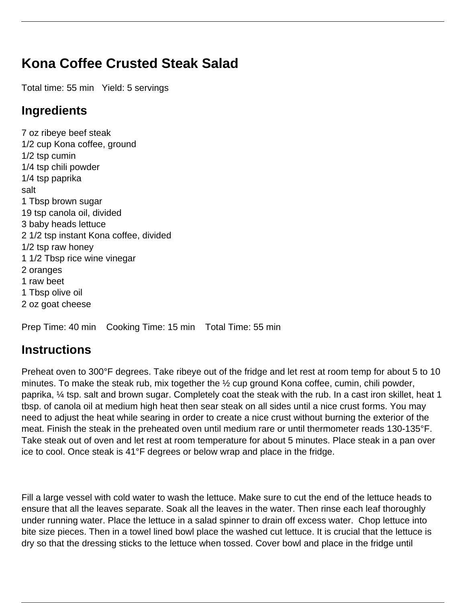## **Kona Coffee Crusted Steak Salad**

Total time: 55 min Yield: 5 servings

## **Ingredients**

7 oz ribeye beef steak 1/2 cup Kona coffee, ground 1/2 tsp cumin 1/4 tsp chili powder 1/4 tsp paprika salt 1 Tbsp brown sugar 19 tsp canola oil, divided 3 baby heads lettuce 2 1/2 tsp instant Kona coffee, divided 1/2 tsp raw honey 1 1/2 Tbsp rice wine vinegar 2 oranges 1 raw beet 1 Tbsp olive oil 2 oz goat cheese

Prep Time: 40 min Cooking Time: 15 min Total Time: 55 min

## **Instructions**

Preheat oven to 300°F degrees. Take ribeye out of the fridge and let rest at room temp for about 5 to 10 minutes. To make the steak rub, mix together the ½ cup ground Kona coffee, cumin, chili powder, paprika, ¼ tsp. salt and brown sugar. Completely coat the steak with the rub. In a cast iron skillet, heat 1 tbsp. of canola oil at medium high heat then sear steak on all sides until a nice crust forms. You may need to adjust the heat while searing in order to create a nice crust without burning the exterior of the meat. Finish the steak in the preheated oven until medium rare or until thermometer reads 130-135°F. Take steak out of oven and let rest at room temperature for about 5 minutes. Place steak in a pan over ice to cool. Once steak is 41°F degrees or below wrap and place in the fridge.

Fill a large vessel with cold water to wash the lettuce. Make sure to cut the end of the lettuce heads to ensure that all the leaves separate. Soak all the leaves in the water. Then rinse each leaf thoroughly under running water. Place the lettuce in a salad spinner to drain off excess water. Chop lettuce into bite size pieces. Then in a towel lined bowl place the washed cut lettuce. It is crucial that the lettuce is dry so that the dressing sticks to the lettuce when tossed. Cover bowl and place in the fridge until